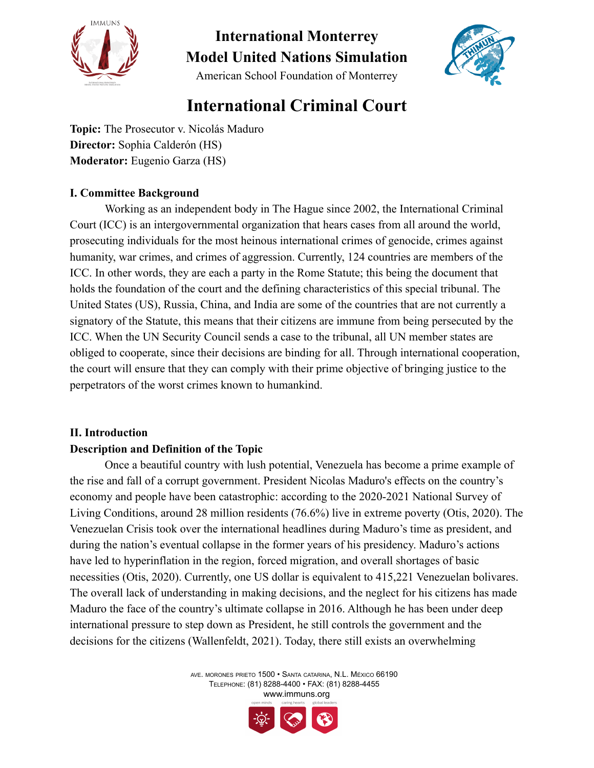

American School Foundation of Monterrey



### **International Criminal Court**

**Topic:** The Prosecutor v. Nicolás Maduro **Director:** Sophia Calderón (HS) **Moderator:** Eugenio Garza (HS)

#### **I. Committee Background**

Working as an independent body in The Hague since 2002, the International Criminal Court (ICC) is an intergovernmental organization that hears cases from all around the world, prosecuting individuals for the most heinous international crimes of genocide, crimes against humanity, war crimes, and crimes of aggression. Currently, 124 countries are members of the ICC. In other words, they are each a party in the Rome Statute; this being the document that holds the foundation of the court and the defining characteristics of this special tribunal. The United States (US), Russia, China, and India are some of the countries that are not currently a signatory of the Statute, this means that their citizens are immune from being persecuted by the ICC. When the UN Security Council sends a case to the tribunal, all UN member states are obliged to cooperate, since their decisions are binding for all. Through international cooperation, the court will ensure that they can comply with their prime objective of bringing justice to the perpetrators of the worst crimes known to humankind.

#### **II. Introduction**

#### **Description and Definition of the Topic**

Once a beautiful country with lush potential, Venezuela has become a prime example of the rise and fall of a corrupt government. President Nicolas Maduro's effects on the country's economy and people have been catastrophic: according to the 2020-2021 National Survey of Living Conditions, around 28 million residents (76.6%) live in extreme poverty (Otis, 2020). The Venezuelan Crisis took over the international headlines during Maduro's time as president, and during the nation's eventual collapse in the former years of his presidency. Maduro's actions have led to hyperinflation in the region, forced migration, and overall shortages of basic necessities (Otis, 2020). Currently, one US dollar is equivalent to 415,221 Venezuelan bolivares. The overall lack of understanding in making decisions, and the neglect for his citizens has made Maduro the face of the country's ultimate collapse in 2016. Although he has been under deep international pressure to step down as President, he still controls the government and the decisions for the citizens (Wallenfeldt, 2021). Today, there still exists an overwhelming

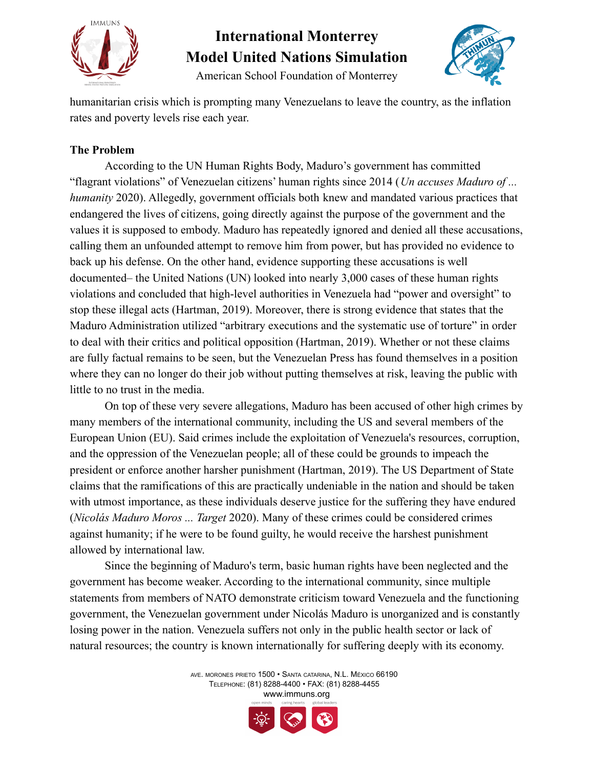

American School Foundation of Monterrey



humanitarian crisis which is prompting many Venezuelans to leave the country, as the inflation rates and poverty levels rise each year.

#### **The Problem**

According to the UN Human Rights Body, Maduro's government has committed "flagrant violations" of Venezuelan citizens' human rights since 2014 (*Un accuses Maduro of ... humanity* 2020). Allegedly, government officials both knew and mandated various practices that endangered the lives of citizens, going directly against the purpose of the government and the values it is supposed to embody. Maduro has repeatedly ignored and denied all these accusations, calling them an unfounded attempt to remove him from power, but has provided no evidence to back up his defense. On the other hand, evidence supporting these accusations is well documented– the United Nations (UN) looked into nearly 3,000 cases of these human rights violations and concluded that high-level authorities in Venezuela had "power and oversight" to stop these illegal acts (Hartman, 2019). Moreover, there is strong evidence that states that the Maduro Administration utilized "arbitrary executions and the systematic use of torture" in order to deal with their critics and political opposition (Hartman, 2019). Whether or not these claims are fully factual remains to be seen, but the Venezuelan Press has found themselves in a position where they can no longer do their job without putting themselves at risk, leaving the public with little to no trust in the media.

On top of these very severe allegations, Maduro has been accused of other high crimes by many members of the international community, including the US and several members of the European Union (EU). Said crimes include the exploitation of Venezuela's resources, corruption, and the oppression of the Venezuelan people; all of these could be grounds to impeach the president or enforce another harsher punishment (Hartman, 2019). The US Department of State claims that the ramifications of this are practically undeniable in the nation and should be taken with utmost importance, as these individuals deserve justice for the suffering they have endured (*Nicolás Maduro Moros ... Target* 2020). Many of these crimes could be considered crimes against humanity; if he were to be found guilty, he would receive the harshest punishment allowed by international law.

Since the beginning of Maduro's term, basic human rights have been neglected and the government has become weaker. According to the international community, since multiple statements from members of NATO demonstrate criticism toward Venezuela and the functioning government, the Venezuelan government under Nicolás Maduro is unorganized and is constantly losing power in the nation. Venezuela suffers not only in the public health sector or lack of natural resources; the country is known internationally for suffering deeply with its economy.

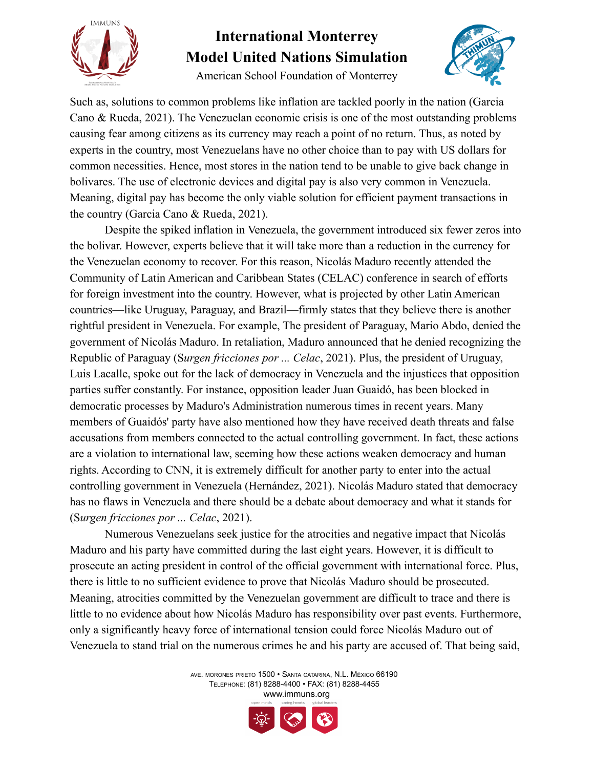

American School Foundation of Monterrey



Such as, solutions to common problems like inflation are tackled poorly in the nation (Garcia Cano & Rueda, 2021). The Venezuelan economic crisis is one of the most outstanding problems causing fear among citizens as its currency may reach a point of no return. Thus, as noted by experts in the country, most Venezuelans have no other choice than to pay with US dollars for common necessities. Hence, most stores in the nation tend to be unable to give back change in bolivares. The use of electronic devices and digital pay is also very common in Venezuela. Meaning, digital pay has become the only viable solution for efficient payment transactions in the country (Garcia Cano & Rueda, 2021).

Despite the spiked inflation in Venezuela, the government introduced six fewer zeros into the bolivar. However, experts believe that it will take more than a reduction in the currency for the Venezuelan economy to recover. For this reason, Nicolás Maduro recently attended the Community of Latin American and Caribbean States (CELAC) conference in search of efforts for foreign investment into the country. However, what is projected by other Latin American countries—like Uruguay, Paraguay, and Brazil—firmly states that they believe there is another rightful president in Venezuela. For example, The president of Paraguay, Mario Abdo, denied the government of Nicolás Maduro. In retaliation, Maduro announced that he denied recognizing the Republic of Paraguay (S*urgen fricciones por ... Celac*, 2021). Plus, the president of Uruguay, Luis Lacalle, spoke out for the lack of democracy in Venezuela and the injustices that opposition parties suffer constantly. For instance, opposition leader Juan Guaidó, has been blocked in democratic processes by Maduro's Administration numerous times in recent years. Many members of Guaidós' party have also mentioned how they have received death threats and false accusations from members connected to the actual controlling government. In fact, these actions are a violation to international law, seeming how these actions weaken democracy and human rights. According to CNN, it is extremely difficult for another party to enter into the actual controlling government in Venezuela (Hernández, 2021). Nicolás Maduro stated that democracy has no flaws in Venezuela and there should be a debate about democracy and what it stands for (S*urgen fricciones por ... Celac*, 2021).

Numerous Venezuelans seek justice for the atrocities and negative impact that Nicolás Maduro and his party have committed during the last eight years. However, it is difficult to prosecute an acting president in control of the official government with international force. Plus, there is little to no sufficient evidence to prove that Nicolás Maduro should be prosecuted. Meaning, atrocities committed by the Venezuelan government are difficult to trace and there is little to no evidence about how Nicolás Maduro has responsibility over past events. Furthermore, only a significantly heavy force of international tension could force Nicolás Maduro out of Venezuela to stand trial on the numerous crimes he and his party are accused of. That being said,

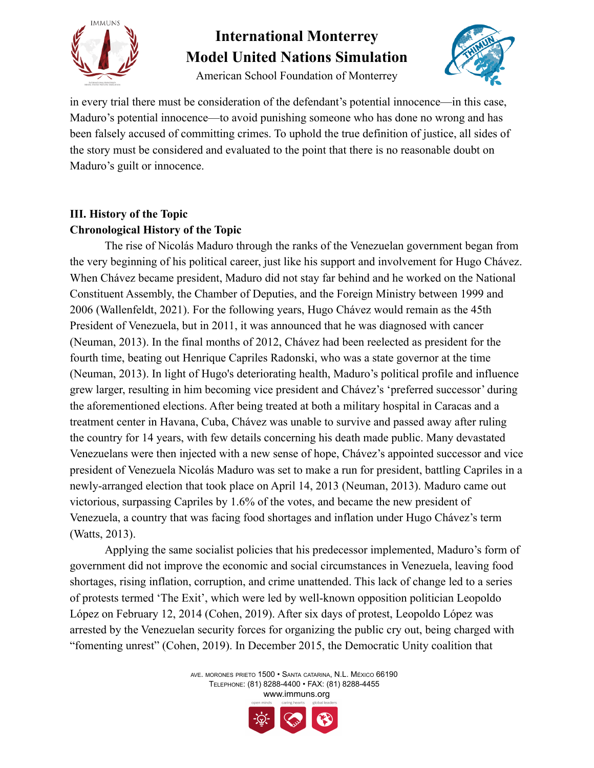

American School Foundation of Monterrey



in every trial there must be consideration of the defendant's potential innocence—in this case, Maduro's potential innocence—to avoid punishing someone who has done no wrong and has been falsely accused of committing crimes. To uphold the true definition of justice, all sides of the story must be considered and evaluated to the point that there is no reasonable doubt on Maduro's guilt or innocence.

### **III. History of the Topic Chronological History of the Topic**

The rise of Nicolás Maduro through the ranks of the Venezuelan government began from the very beginning of his political career, just like his support and involvement for Hugo Chávez. When Chávez became president, Maduro did not stay far behind and he worked on the National Constituent Assembly, the Chamber of Deputies, and the Foreign Ministry between 1999 and 2006 (Wallenfeldt, 2021). For the following years, Hugo Chávez would remain as the 45th President of Venezuela, but in 2011, it was announced that he was diagnosed with cancer (Neuman, 2013). In the final months of 2012, Chávez had been reelected as president for the fourth time, beating out Henrique Capriles Radonski, who was a state governor at the time (Neuman, 2013). In light of Hugo's deteriorating health, Maduro's political profile and influence grew larger, resulting in him becoming vice president and Chávez's 'preferred successor' during the aforementioned elections. After being treated at both a military hospital in Caracas and a treatment center in Havana, Cuba, Chávez was unable to survive and passed away after ruling the country for 14 years, with few details concerning his death made public. Many devastated Venezuelans were then injected with a new sense of hope, Chávez's appointed successor and vice president of Venezuela Nicolás Maduro was set to make a run for president, battling Capriles in a newly-arranged election that took place on April 14, 2013 (Neuman, 2013). Maduro came out victorious, surpassing Capriles by 1.6% of the votes, and became the new president of Venezuela, a country that was facing food shortages and inflation under Hugo Chávez's term (Watts, 2013).

Applying the same socialist policies that his predecessor implemented, Maduro's form of government did not improve the economic and social circumstances in Venezuela, leaving food shortages, rising inflation, corruption, and crime unattended. This lack of change led to a series of protests termed 'The Exit', which were led by well-known opposition politician Leopoldo López on February 12, 2014 (Cohen, 2019). After six days of protest, Leopoldo López was arrested by the Venezuelan security forces for organizing the public cry out, being charged with "fomenting unrest" (Cohen, 2019). In December 2015, the Democratic Unity coalition that

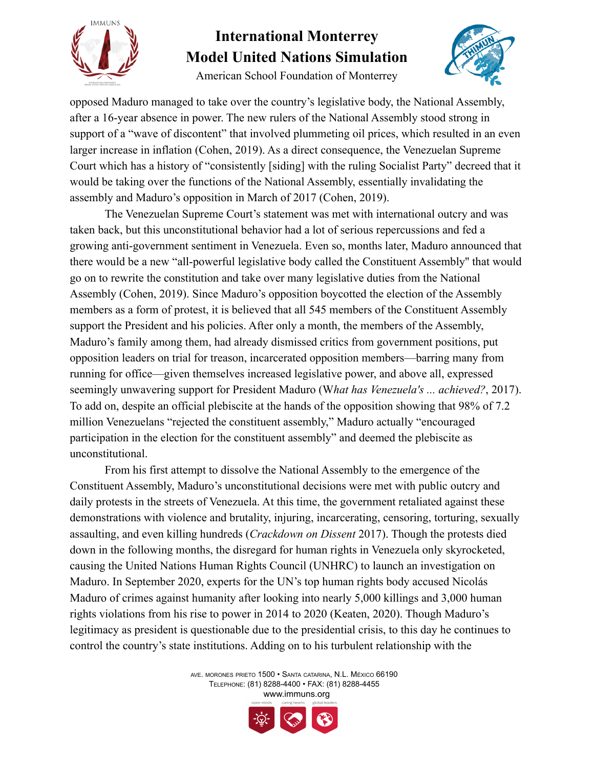

American School Foundation of Monterrey



opposed Maduro managed to take over the country's legislative body, the National Assembly, after a 16-year absence in power. The new rulers of the National Assembly stood strong in support of a "wave of discontent" that involved plummeting oil prices, which resulted in an even larger increase in inflation (Cohen, 2019). As a direct consequence, the Venezuelan Supreme Court which has a history of "consistently [siding] with the ruling Socialist Party" decreed that it would be taking over the functions of the National Assembly, essentially invalidating the assembly and Maduro's opposition in March of 2017 (Cohen, 2019).

The Venezuelan Supreme Court's statement was met with international outcry and was taken back, but this unconstitutional behavior had a lot of serious repercussions and fed a growing anti-government sentiment in Venezuela. Even so, months later, Maduro announced that there would be a new "all-powerful legislative body called the Constituent Assembly'' that would go on to rewrite the constitution and take over many legislative duties from the National Assembly (Cohen, 2019). Since Maduro's opposition boycotted the election of the Assembly members as a form of protest, it is believed that all 545 members of the Constituent Assembly support the President and his policies. After only a month, the members of the Assembly, Maduro's family among them, had already dismissed critics from government positions, put opposition leaders on trial for treason, incarcerated opposition members—barring many from running for office—given themselves increased legislative power, and above all, expressed seemingly unwavering support for President Maduro (W*hat has Venezuela's ... achieved?*, 2017). To add on, despite an official plebiscite at the hands of the opposition showing that 98% of 7.2 million Venezuelans "rejected the constituent assembly," Maduro actually "encouraged participation in the election for the constituent assembly" and deemed the plebiscite as unconstitutional.

From his first attempt to dissolve the National Assembly to the emergence of the Constituent Assembly, Maduro's unconstitutional decisions were met with public outcry and daily protests in the streets of Venezuela. At this time, the government retaliated against these demonstrations with violence and brutality, injuring, incarcerating, censoring, torturing, sexually assaulting, and even killing hundreds (*Crackdown on Dissent* 2017). Though the protests died down in the following months, the disregard for human rights in Venezuela only skyrocketed, causing the United Nations Human Rights Council (UNHRC) to launch an investigation on Maduro. In September 2020, experts for the UN's top human rights body accused Nicolás Maduro of crimes against humanity after looking into nearly 5,000 killings and 3,000 human rights violations from his rise to power in 2014 to 2020 (Keaten, 2020). Though Maduro's legitimacy as president is questionable due to the presidential crisis, to this day he continues to control the country's state institutions. Adding on to his turbulent relationship with the

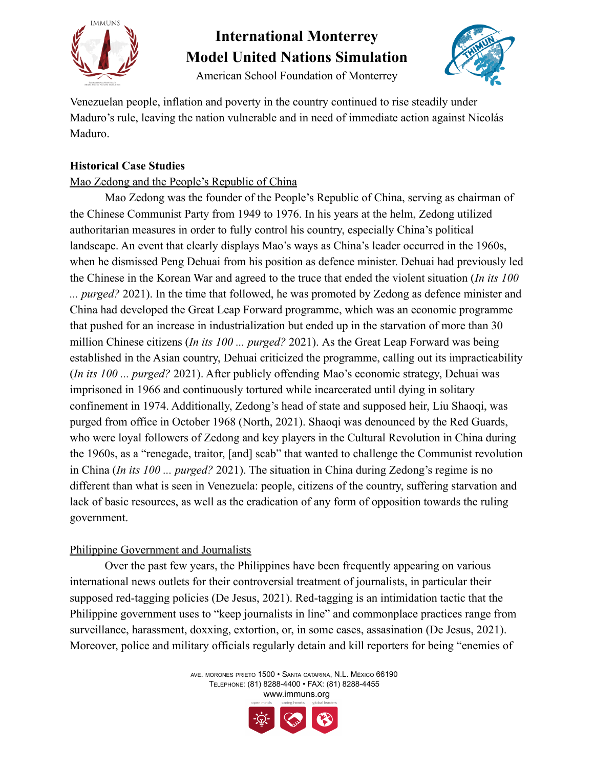

American School Foundation of Monterrey



Venezuelan people, inflation and poverty in the country continued to rise steadily under Maduro's rule, leaving the nation vulnerable and in need of immediate action against Nicolás Maduro.

#### **Historical Case Studies**

#### Mao Zedong and the People's Republic of China

Mao Zedong was the founder of the People's Republic of China, serving as chairman of the Chinese Communist Party from 1949 to 1976. In his years at the helm, Zedong utilized authoritarian measures in order to fully control his country, especially China's political landscape. An event that clearly displays Mao's ways as China's leader occurred in the 1960s, when he dismissed Peng Dehuai from his position as defence minister. Dehuai had previously led the Chinese in the Korean War and agreed to the truce that ended the violent situation (*In its 100 ... purged?* 2021). In the time that followed, he was promoted by Zedong as defence minister and China had developed the Great Leap Forward programme, which was an economic programme that pushed for an increase in industrialization but ended up in the starvation of more than 30 million Chinese citizens (*In its 100 ... purged?* 2021). As the Great Leap Forward was being established in the Asian country, Dehuai criticized the programme, calling out its impracticability (*In its 100 ... purged?* 2021). After publicly offending Mao's economic strategy, Dehuai was imprisoned in 1966 and continuously tortured while incarcerated until dying in solitary confinement in 1974. Additionally, Zedong's head of state and supposed heir, Liu Shaoqi, was purged from office in October 1968 (North, 2021). Shaoqi was denounced by the Red Guards, who were loyal followers of Zedong and key players in the Cultural Revolution in China during the 1960s, as a "renegade, traitor, [and] scab" that wanted to challenge the Communist revolution in China (*In its 100 ... purged?* 2021). The situation in China during Zedong's regime is no different than what is seen in Venezuela: people, citizens of the country, suffering starvation and lack of basic resources, as well as the eradication of any form of opposition towards the ruling government.

#### Philippine Government and Journalists

Over the past few years, the Philippines have been frequently appearing on various international news outlets for their controversial treatment of journalists, in particular their supposed red-tagging policies (De Jesus, 2021). Red-tagging is an intimidation tactic that the Philippine government uses to "keep journalists in line" and commonplace practices range from surveillance, harassment, doxxing, extortion, or, in some cases, assasination (De Jesus, 2021). Moreover, police and military officials regularly detain and kill reporters for being "enemies of

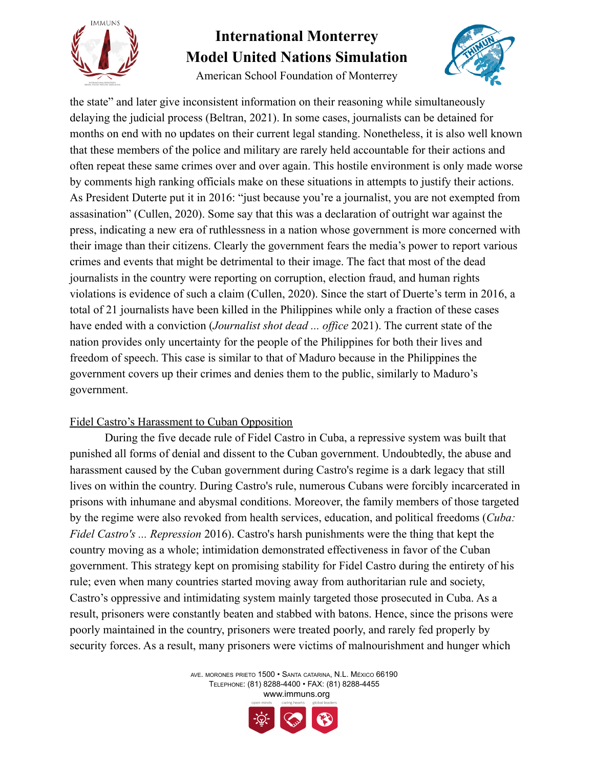

American School Foundation of Monterrey



the state" and later give inconsistent information on their reasoning while simultaneously delaying the judicial process (Beltran, 2021). In some cases, journalists can be detained for months on end with no updates on their current legal standing. Nonetheless, it is also well known that these members of the police and military are rarely held accountable for their actions and often repeat these same crimes over and over again. This hostile environment is only made worse by comments high ranking officials make on these situations in attempts to justify their actions. As President Duterte put it in 2016: "just because you're a journalist, you are not exempted from assasination" (Cullen, 2020). Some say that this was a declaration of outright war against the press, indicating a new era of ruthlessness in a nation whose government is more concerned with their image than their citizens. Clearly the government fears the media's power to report various crimes and events that might be detrimental to their image. The fact that most of the dead journalists in the country were reporting on corruption, election fraud, and human rights violations is evidence of such a claim (Cullen, 2020). Since the start of Duerte's term in 2016, a total of 21 journalists have been killed in the Philippines while only a fraction of these cases have ended with a conviction (*Journalist shot dead ... office* 2021). The current state of the nation provides only uncertainty for the people of the Philippines for both their lives and freedom of speech. This case is similar to that of Maduro because in the Philippines the government covers up their crimes and denies them to the public, similarly to Maduro's government.

#### Fidel Castro's Harassment to Cuban Opposition

During the five decade rule of Fidel Castro in Cuba, a repressive system was built that punished all forms of denial and dissent to the Cuban government. Undoubtedly, the abuse and harassment caused by the Cuban government during Castro's regime is a dark legacy that still lives on within the country. During Castro's rule, numerous Cubans were forcibly incarcerated in prisons with inhumane and abysmal conditions. Moreover, the family members of those targeted by the regime were also revoked from health services, education, and political freedoms (*Cuba: Fidel Castro's ... Repression* 2016). Castro's harsh punishments were the thing that kept the country moving as a whole; intimidation demonstrated effectiveness in favor of the Cuban government. This strategy kept on promising stability for Fidel Castro during the entirety of his rule; even when many countries started moving away from authoritarian rule and society, Castro's oppressive and intimidating system mainly targeted those prosecuted in Cuba. As a result, prisoners were constantly beaten and stabbed with batons. Hence, since the prisons were poorly maintained in the country, prisoners were treated poorly, and rarely fed properly by security forces. As a result, many prisoners were victims of malnourishment and hunger which

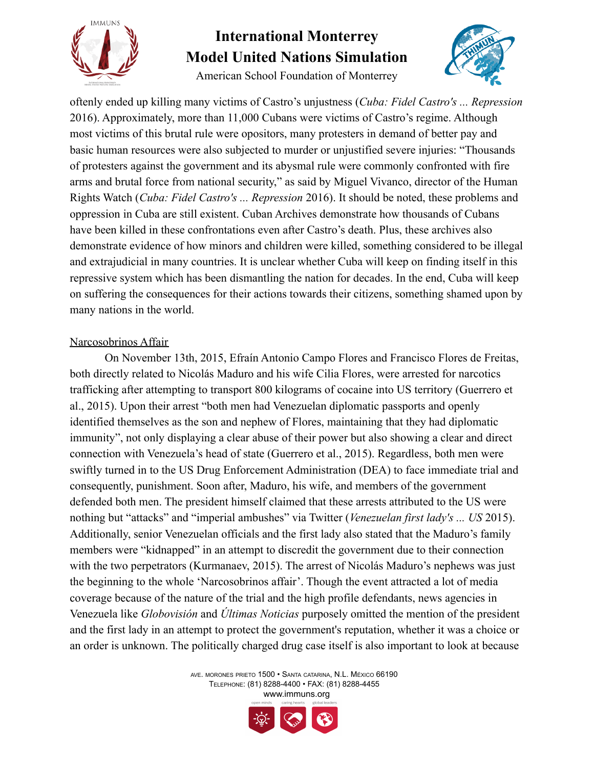

American School Foundation of Monterrey



oftenly ended up killing many victims of Castro's unjustness (*Cuba: Fidel Castro's ... Repression* 2016). Approximately, more than 11,000 Cubans were victims of Castro's regime. Although most victims of this brutal rule were opositors, many protesters in demand of better pay and basic human resources were also subjected to murder or unjustified severe injuries: "Thousands of protesters against the government and its abysmal rule were commonly confronted with fire arms and brutal force from national security," as said by Miguel Vivanco, director of the Human Rights Watch (*Cuba: Fidel Castro's ... Repression* 2016). It should be noted, these problems and oppression in Cuba are still existent. Cuban Archives demonstrate how thousands of Cubans have been killed in these confrontations even after Castro's death. Plus, these archives also demonstrate evidence of how minors and children were killed, something considered to be illegal and extrajudicial in many countries. It is unclear whether Cuba will keep on finding itself in this repressive system which has been dismantling the nation for decades. In the end, Cuba will keep on suffering the consequences for their actions towards their citizens, something shamed upon by many nations in the world.

#### Narcosobrinos Affair

On November 13th, 2015, Efraín Antonio Campo Flores and Francisco Flores de Freitas, both directly related to Nicolás Maduro and his wife Cilia Flores, were arrested for narcotics trafficking after attempting to transport 800 kilograms of cocaine into US territory (Guerrero et al., 2015). Upon their arrest "both men had Venezuelan diplomatic passports and openly identified themselves as the son and nephew of Flores, maintaining that they had diplomatic immunity", not only displaying a clear abuse of their power but also showing a clear and direct connection with Venezuela's head of state (Guerrero et al., 2015). Regardless, both men were swiftly turned in to the US Drug Enforcement Administration (DEA) to face immediate trial and consequently, punishment. Soon after, Maduro, his wife, and members of the government defended both men. The president himself claimed that these arrests attributed to the US were nothing but "attacks" and "imperial ambushes" via Twitter (*Venezuelan first lady's ... US* 2015). Additionally, senior Venezuelan officials and the first lady also stated that the Maduro's family members were "kidnapped" in an attempt to discredit the government due to their connection with the two perpetrators (Kurmanaev, 2015). The arrest of Nicolás Maduro's nephews was just the beginning to the whole 'Narcosobrinos affair'. Though the event attracted a lot of media coverage because of the nature of the trial and the high profile defendants, news agencies in Venezuela like *Globovisión* and *Últimas Noticias* purposely omitted the mention of the president and the first lady in an attempt to protect the government's reputation, whether it was a choice or an order is unknown. The politically charged drug case itself is also important to look at because

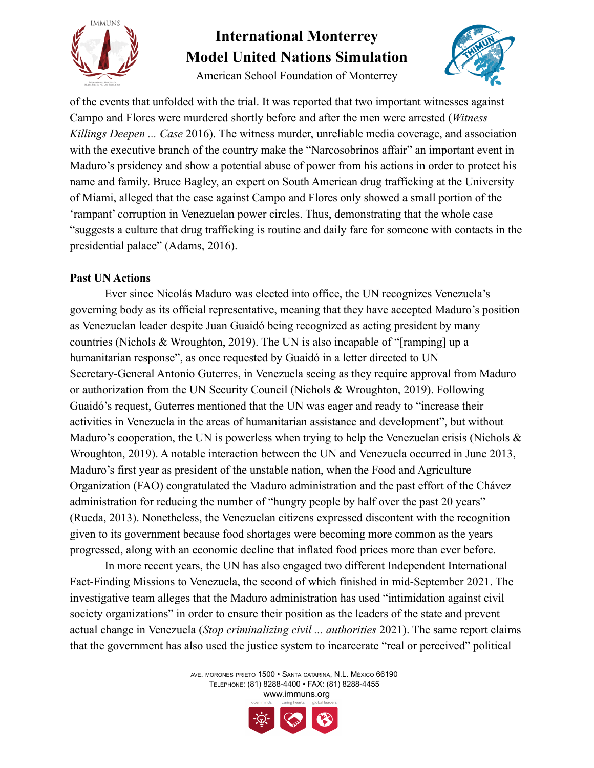

American School Foundation of Monterrey



of the events that unfolded with the trial. It was reported that two important witnesses against Campo and Flores were murdered shortly before and after the men were arrested (*Witness Killings Deepen ... Case* 2016). The witness murder, unreliable media coverage, and association with the executive branch of the country make the "Narcosobrinos affair" an important event in Maduro's prsidency and show a potential abuse of power from his actions in order to protect his name and family. Bruce Bagley, an expert on South American drug trafficking at the University of Miami, alleged that the case against Campo and Flores only showed a small portion of the 'rampant' corruption in Venezuelan power circles. Thus, demonstrating that the whole case "suggests a culture that drug trafficking is routine and daily fare for someone with contacts in the presidential palace" (Adams, 2016).

#### **Past UN Actions**

Ever since Nicolás Maduro was elected into office, the UN recognizes Venezuela's governing body as its official representative, meaning that they have accepted Maduro's position as Venezuelan leader despite Juan Guaidó being recognized as acting president by many countries (Nichols & Wroughton, 2019). The UN is also incapable of "[ramping] up a humanitarian response", as once requested by Guaidó in a letter directed to UN Secretary-General Antonio Guterres, in Venezuela seeing as they require approval from Maduro or authorization from the UN Security Council (Nichols & Wroughton, 2019). Following Guaidó's request, Guterres mentioned that the UN was eager and ready to "increase their activities in Venezuela in the areas of humanitarian assistance and development", but without Maduro's cooperation, the UN is powerless when trying to help the Venezuelan crisis (Nichols & Wroughton, 2019). A notable interaction between the UN and Venezuela occurred in June 2013, Maduro's first year as president of the unstable nation, when the Food and Agriculture Organization (FAO) congratulated the Maduro administration and the past effort of the Chávez administration for reducing the number of "hungry people by half over the past 20 years" (Rueda, 2013). Nonetheless, the Venezuelan citizens expressed discontent with the recognition given to its government because food shortages were becoming more common as the years progressed, along with an economic decline that inflated food prices more than ever before.

In more recent years, the UN has also engaged two different Independent International Fact-Finding Missions to Venezuela, the second of which finished in mid-September 2021. The investigative team alleges that the Maduro administration has used "intimidation against civil society organizations" in order to ensure their position as the leaders of the state and prevent actual change in Venezuela (*Stop criminalizing civil ... authorities* 2021). The same report claims that the government has also used the justice system to incarcerate "real or perceived" political

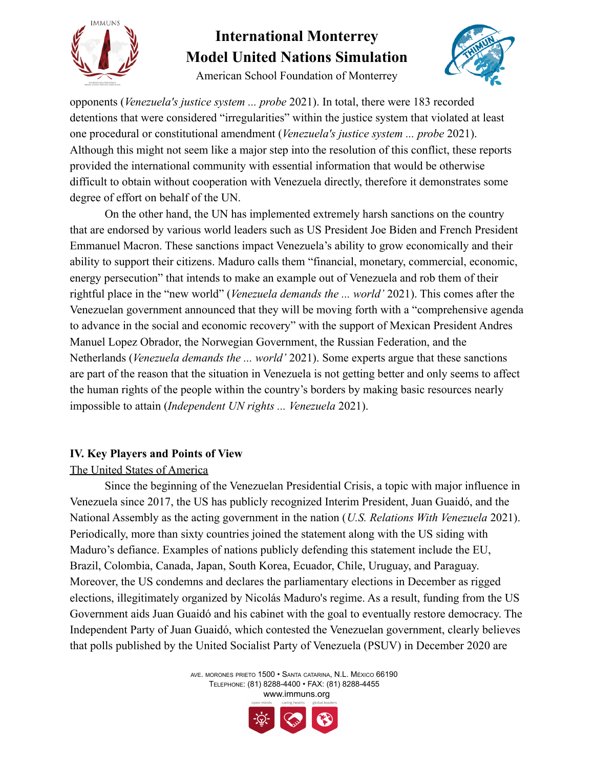

American School Foundation of Monterrey



opponents (*Venezuela's justice system ... probe* 2021). In total, there were 183 recorded detentions that were considered "irregularities" within the justice system that violated at least one procedural or constitutional amendment (*Venezuela's justice system ... probe* 2021). Although this might not seem like a major step into the resolution of this conflict, these reports provided the international community with essential information that would be otherwise difficult to obtain without cooperation with Venezuela directly, therefore it demonstrates some degree of effort on behalf of the UN.

On the other hand, the UN has implemented extremely harsh sanctions on the country that are endorsed by various world leaders such as US President Joe Biden and French President Emmanuel Macron. These sanctions impact Venezuela's ability to grow economically and their ability to support their citizens. Maduro calls them "financial, monetary, commercial, economic, energy persecution" that intends to make an example out of Venezuela and rob them of their rightful place in the "new world" (*Venezuela demands the ... world'* 2021). This comes after the Venezuelan government announced that they will be moving forth with a "comprehensive agenda to advance in the social and economic recovery" with the support of Mexican President Andres Manuel Lopez Obrador, the Norwegian Government, the Russian Federation, and the Netherlands (*Venezuela demands the ... world'* 2021). Some experts argue that these sanctions are part of the reason that the situation in Venezuela is not getting better and only seems to affect the human rights of the people within the country's borders by making basic resources nearly impossible to attain (*Independent UN rights ... Venezuela* 2021).

#### **IV. Key Players and Points of View**

#### The United States of America

Since the beginning of the Venezuelan Presidential Crisis, a topic with major influence in Venezuela since 2017, the US has publicly recognized Interim President, Juan Guaidó, and the National Assembly as the acting government in the nation (*U.S. Relations With Venezuela* 2021). Periodically, more than sixty countries joined the statement along with the US siding with Maduro's defiance. Examples of nations publicly defending this statement include the EU, Brazil, Colombia, Canada, Japan, South Korea, Ecuador, Chile, Uruguay, and Paraguay. Moreover, the US condemns and declares the parliamentary elections in December as rigged elections, illegitimately organized by Nicolás Maduro's regime. As a result, funding from the US Government aids Juan Guaidó and his cabinet with the goal to eventually restore democracy. The Independent Party of Juan Guaidó, which contested the Venezuelan government, clearly believes that polls published by the United Socialist Party of Venezuela (PSUV) in December 2020 are

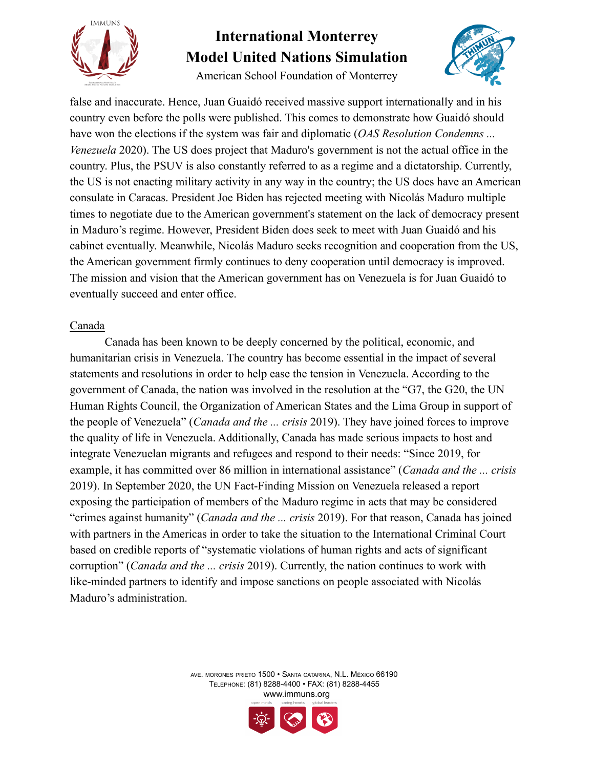

American School Foundation of Monterrey



false and inaccurate. Hence, Juan Guaidó received massive support internationally and in his country even before the polls were published. This comes to demonstrate how Guaidó should have won the elections if the system was fair and diplomatic (*OAS Resolution Condemns ... Venezuela* 2020). The US does project that Maduro's government is not the actual office in the country. Plus, the PSUV is also constantly referred to as a regime and a dictatorship. Currently, the US is not enacting military activity in any way in the country; the US does have an American consulate in Caracas. President Joe Biden has rejected meeting with Nicolás Maduro multiple times to negotiate due to the American government's statement on the lack of democracy present in Maduro's regime. However, President Biden does seek to meet with Juan Guaidó and his cabinet eventually. Meanwhile, Nicolás Maduro seeks recognition and cooperation from the US, the American government firmly continues to deny cooperation until democracy is improved. The mission and vision that the American government has on Venezuela is for Juan Guaidó to eventually succeed and enter office.

#### Canada

Canada has been known to be deeply concerned by the political, economic, and humanitarian crisis in Venezuela. The country has become essential in the impact of several statements and resolutions in order to help ease the tension in Venezuela. According to the government of Canada, the nation was involved in the resolution at the "G7, the G20, the UN Human Rights Council, the Organization of American States and the Lima Group in support of the people of Venezuela" (*Canada and the ... crisis* 2019). They have joined forces to improve the quality of life in Venezuela. Additionally, Canada has made serious impacts to host and integrate Venezuelan migrants and refugees and respond to their needs: "Since 2019, for example, it has committed over 86 million in international assistance" (*Canada and the ... crisis* 2019). In September 2020, the UN Fact-Finding Mission on Venezuela released a report exposing the participation of members of the Maduro regime in acts that may be considered "crimes against humanity" (*Canada and the ... crisis* 2019). For that reason, Canada has joined with partners in the Americas in order to take the situation to the International Criminal Court based on credible reports of "systematic violations of human rights and acts of significant corruption" (*Canada and the ... crisis* 2019). Currently, the nation continues to work with like-minded partners to identify and impose sanctions on people associated with Nicolás Maduro's administration.

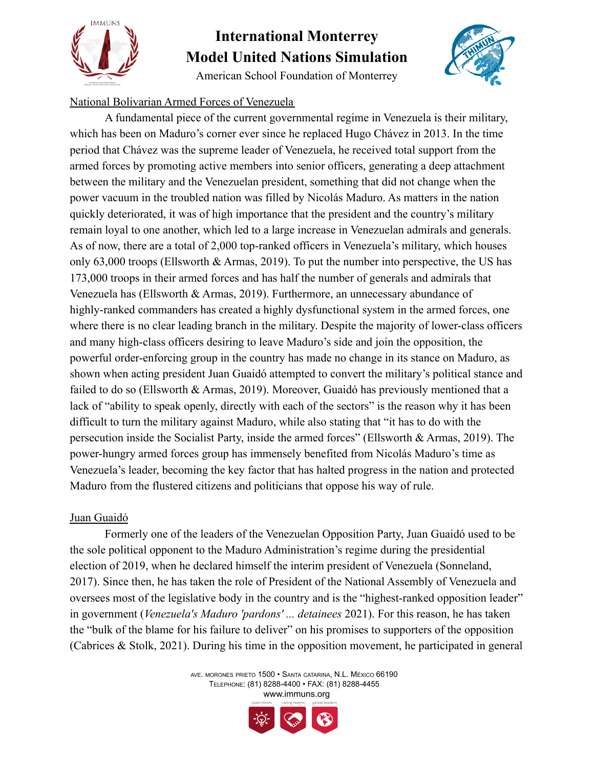

American School Foundation of Monterrey



#### National Bolivarian Armed Forces of Venezuela

A fundamental piece of the current governmental regime in Venezuela is their military, which has been on Maduro's corner ever since he replaced Hugo Chávez in 2013. In the time period that Chávez was the supreme leader of Venezuela, he received total support from the armed forces by promoting active members into senior officers, generating a deep attachment between the military and the Venezuelan president, something that did not change when the power vacuum in the troubled nation was filled by Nicolás Maduro. As matters in the nation quickly deteriorated, it was of high importance that the president and the country's military remain loyal to one another, which led to a large increase in Venezuelan admirals and generals. As of now, there are a total of 2,000 top-ranked officers in Venezuela's military, which houses only 63,000 troops (Ellsworth & Armas, 2019). To put the number into perspective, the US has 173,000 troops in their armed forces and has half the number of generals and admirals that Venezuela has (Ellsworth & Armas, 2019). Furthermore, an unnecessary abundance of highly-ranked commanders has created a highly dysfunctional system in the armed forces, one where there is no clear leading branch in the military. Despite the majority of lower-class officers and many high-class officers desiring to leave Maduro's side and join the opposition, the powerful order-enforcing group in the country has made no change in its stance on Maduro, as shown when acting president Juan Guaidó attempted to convert the military's political stance and failed to do so (Ellsworth & Armas, 2019). Moreover, Guaidó has previously mentioned that a lack of "ability to speak openly, directly with each of the sectors" is the reason why it has been difficult to turn the military against Maduro, while also stating that "it has to do with the persecution inside the Socialist Party, inside the armed forces" (Ellsworth & Armas, 2019). The power-hungry armed forces group has immensely benefited from Nicolás Maduro's time as Venezuela's leader, becoming the key factor that has halted progress in the nation and protected Maduro from the flustered citizens and politicians that oppose his way of rule.

#### Juan Guaidó

Formerly one of the leaders of the Venezuelan Opposition Party, Juan Guaidó used to be the sole political opponent to the Maduro Administration's regime during the presidential election of 2019, when he declared himself the interim president of Venezuela (Sonneland, 2017). Since then, he has taken the role of President of the National Assembly of Venezuela and oversees most of the legislative body in the country and is the "highest-ranked opposition leader" in government (*Venezuela's Maduro 'pardons' ... detainees* 2021). For this reason, he has taken the "bulk of the blame for his failure to deliver" on his promises to supporters of the opposition (Cabrices & Stolk, 2021). During his time in the opposition movement, he participated in general

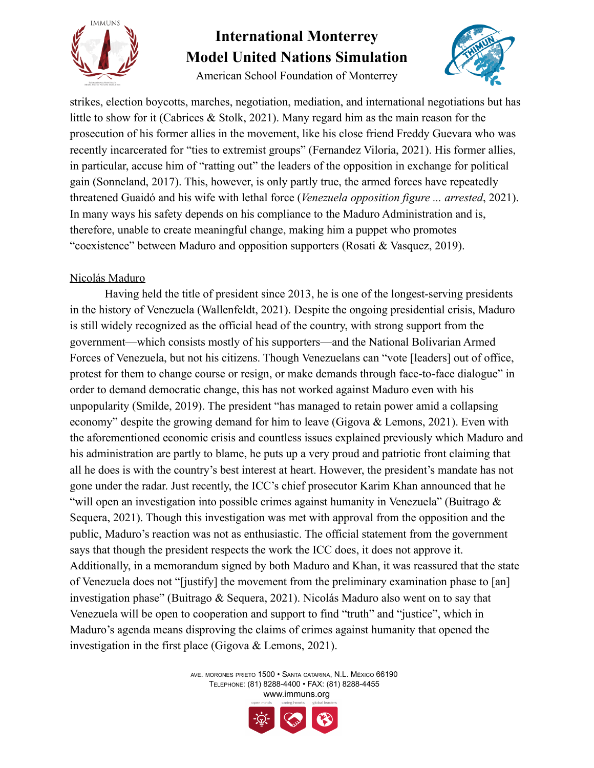

American School Foundation of Monterrey



strikes, election boycotts, marches, negotiation, mediation, and international negotiations but has little to show for it (Cabrices & Stolk, 2021). Many regard him as the main reason for the prosecution of his former allies in the movement, like his close friend Freddy Guevara who was recently incarcerated for "ties to extremist groups" (Fernandez Viloria, 2021). His former allies, in particular, accuse him of "ratting out" the leaders of the opposition in exchange for political gain (Sonneland, 2017). This, however, is only partly true, the armed forces have repeatedly threatened Guaidó and his wife with lethal force (*Venezuela opposition figure ... arrested*, 2021). In many ways his safety depends on his compliance to the Maduro Administration and is, therefore, unable to create meaningful change, making him a puppet who promotes "coexistence" between Maduro and opposition supporters (Rosati & Vasquez, 2019).

#### Nicolás Maduro

Having held the title of president since 2013, he is one of the longest-serving presidents in the history of Venezuela (Wallenfeldt, 2021). Despite the ongoing presidential crisis, Maduro is still widely recognized as the official head of the country, with strong support from the government—which consists mostly of his supporters—and the National Bolivarian Armed Forces of Venezuela, but not his citizens. Though Venezuelans can "vote [leaders] out of office, protest for them to change course or resign, or make demands through face-to-face dialogue" in order to demand democratic change, this has not worked against Maduro even with his unpopularity (Smilde, 2019). The president "has managed to retain power amid a collapsing economy" despite the growing demand for him to leave (Gigova & Lemons, 2021). Even with the aforementioned economic crisis and countless issues explained previously which Maduro and his administration are partly to blame, he puts up a very proud and patriotic front claiming that all he does is with the country's best interest at heart. However, the president's mandate has not gone under the radar. Just recently, the ICC's chief prosecutor Karim Khan announced that he "will open an investigation into possible crimes against humanity in Venezuela" (Buitrago & Sequera, 2021). Though this investigation was met with approval from the opposition and the public, Maduro's reaction was not as enthusiastic. The official statement from the government says that though the president respects the work the ICC does, it does not approve it. Additionally, in a memorandum signed by both Maduro and Khan, it was reassured that the state of Venezuela does not "[justify] the movement from the preliminary examination phase to [an] investigation phase" (Buitrago & Sequera, 2021). Nicolás Maduro also went on to say that Venezuela will be open to cooperation and support to find "truth" and "justice", which in Maduro's agenda means disproving the claims of crimes against humanity that opened the investigation in the first place (Gigova & Lemons, 2021).

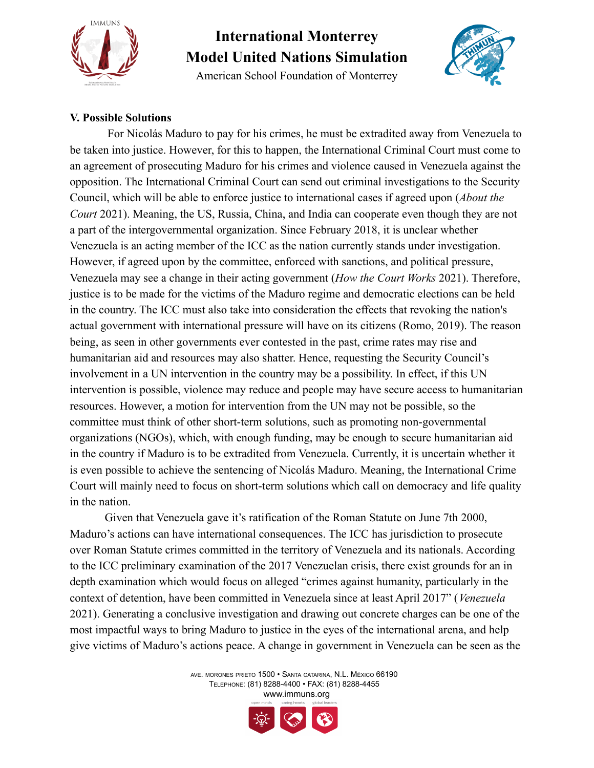

American School Foundation of Monterrey



#### **V. Possible Solutions**

For Nicolás Maduro to pay for his crimes, he must be extradited away from Venezuela to be taken into justice. However, for this to happen, the International Criminal Court must come to an agreement of prosecuting Maduro for his crimes and violence caused in Venezuela against the opposition. The International Criminal Court can send out criminal investigations to the Security Council, which will be able to enforce justice to international cases if agreed upon (*About the Court* 2021). Meaning, the US, Russia, China, and India can cooperate even though they are not a part of the intergovernmental organization. Since February 2018, it is unclear whether Venezuela is an acting member of the ICC as the nation currently stands under investigation. However, if agreed upon by the committee, enforced with sanctions, and political pressure, Venezuela may see a change in their acting government (*How the Court Works* 2021). Therefore, justice is to be made for the victims of the Maduro regime and democratic elections can be held in the country. The ICC must also take into consideration the effects that revoking the nation's actual government with international pressure will have on its citizens (Romo, 2019). The reason being, as seen in other governments ever contested in the past, crime rates may rise and humanitarian aid and resources may also shatter. Hence, requesting the Security Council's involvement in a UN intervention in the country may be a possibility. In effect, if this UN intervention is possible, violence may reduce and people may have secure access to humanitarian resources. However, a motion for intervention from the UN may not be possible, so the committee must think of other short-term solutions, such as promoting non-governmental organizations (NGOs), which, with enough funding, may be enough to secure humanitarian aid in the country if Maduro is to be extradited from Venezuela. Currently, it is uncertain whether it is even possible to achieve the sentencing of Nicolás Maduro. Meaning, the International Crime Court will mainly need to focus on short-term solutions which call on democracy and life quality in the nation.

Given that Venezuela gave it's ratification of the Roman Statute on June 7th 2000, Maduro's actions can have international consequences. The ICC has jurisdiction to prosecute over Roman Statute crimes committed in the territory of Venezuela and its nationals. According to the ICC preliminary examination of the 2017 Venezuelan crisis, there exist grounds for an in depth examination which would focus on alleged "crimes against humanity, particularly in the context of detention, have been committed in Venezuela since at least April 2017" (*Venezuela* 2021). Generating a conclusive investigation and drawing out concrete charges can be one of the most impactful ways to bring Maduro to justice in the eyes of the international arena, and help give victims of Maduro's actions peace. A change in government in Venezuela can be seen as the

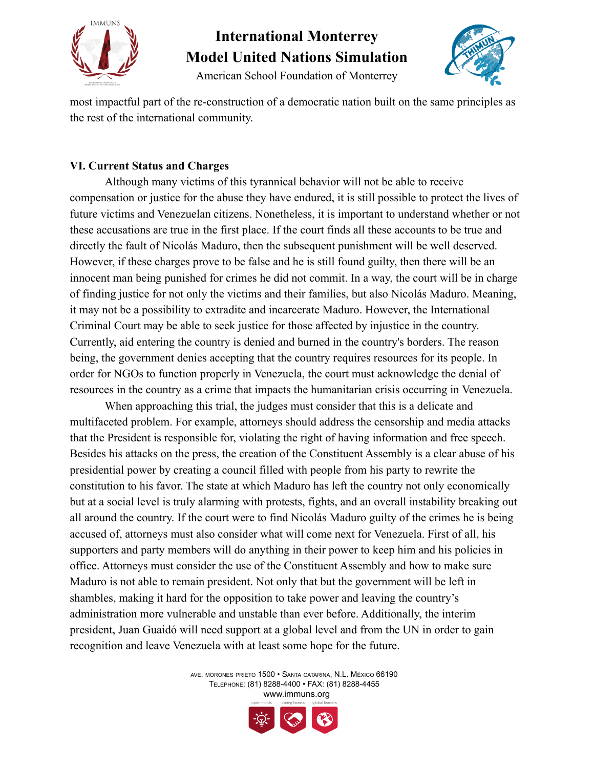

American School Foundation of Monterrey



most impactful part of the re-construction of a democratic nation built on the same principles as the rest of the international community.

#### **VI. Current Status and Charges**

Although many victims of this tyrannical behavior will not be able to receive compensation or justice for the abuse they have endured, it is still possible to protect the lives of future victims and Venezuelan citizens. Nonetheless, it is important to understand whether or not these accusations are true in the first place. If the court finds all these accounts to be true and directly the fault of Nicolás Maduro, then the subsequent punishment will be well deserved. However, if these charges prove to be false and he is still found guilty, then there will be an innocent man being punished for crimes he did not commit. In a way, the court will be in charge of finding justice for not only the victims and their families, but also Nicolás Maduro. Meaning, it may not be a possibility to extradite and incarcerate Maduro. However, the International Criminal Court may be able to seek justice for those affected by injustice in the country. Currently, aid entering the country is denied and burned in the country's borders. The reason being, the government denies accepting that the country requires resources for its people. In order for NGOs to function properly in Venezuela, the court must acknowledge the denial of resources in the country as a crime that impacts the humanitarian crisis occurring in Venezuela.

When approaching this trial, the judges must consider that this is a delicate and multifaceted problem. For example, attorneys should address the censorship and media attacks that the President is responsible for, violating the right of having information and free speech. Besides his attacks on the press, the creation of the Constituent Assembly is a clear abuse of his presidential power by creating a council filled with people from his party to rewrite the constitution to his favor. The state at which Maduro has left the country not only economically but at a social level is truly alarming with protests, fights, and an overall instability breaking out all around the country. If the court were to find Nicolás Maduro guilty of the crimes he is being accused of, attorneys must also consider what will come next for Venezuela. First of all, his supporters and party members will do anything in their power to keep him and his policies in office. Attorneys must consider the use of the Constituent Assembly and how to make sure Maduro is not able to remain president. Not only that but the government will be left in shambles, making it hard for the opposition to take power and leaving the country's administration more vulnerable and unstable than ever before. Additionally, the interim president, Juan Guaidó will need support at a global level and from the UN in order to gain recognition and leave Venezuela with at least some hope for the future.

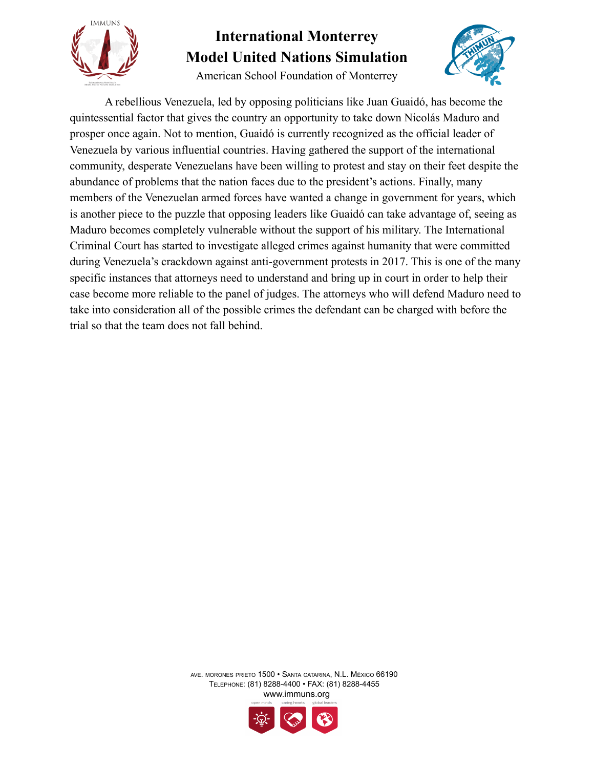

American School Foundation of Monterrey



A rebellious Venezuela, led by opposing politicians like Juan Guaidó, has become the quintessential factor that gives the country an opportunity to take down Nicolás Maduro and prosper once again. Not to mention, Guaidó is currently recognized as the official leader of Venezuela by various influential countries. Having gathered the support of the international community, desperate Venezuelans have been willing to protest and stay on their feet despite the abundance of problems that the nation faces due to the president's actions. Finally, many members of the Venezuelan armed forces have wanted a change in government for years, which is another piece to the puzzle that opposing leaders like Guaidó can take advantage of, seeing as Maduro becomes completely vulnerable without the support of his military. The International Criminal Court has started to investigate alleged crimes against humanity that were committed during Venezuela's crackdown against anti-government protests in 2017. This is one of the many specific instances that attorneys need to understand and bring up in court in order to help their case become more reliable to the panel of judges. The attorneys who will defend Maduro need to take into consideration all of the possible crimes the defendant can be charged with before the trial so that the team does not fall behind.

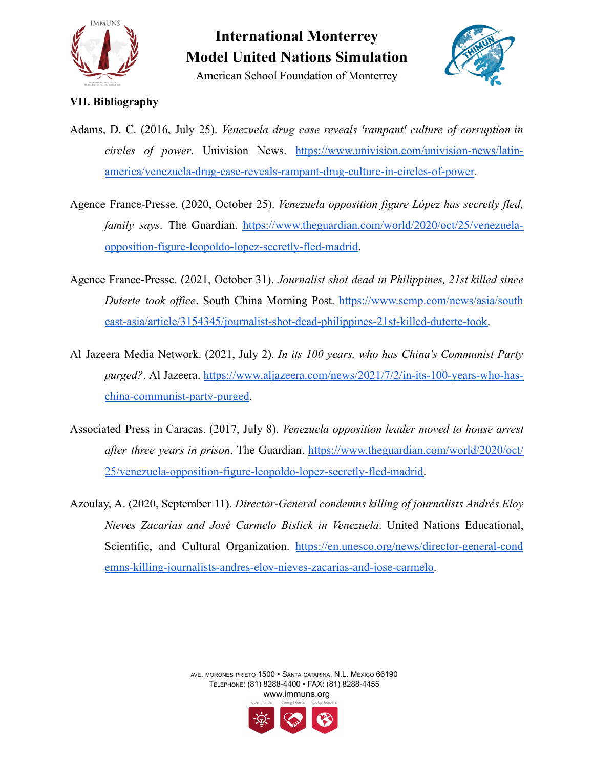

American School Foundation of Monterrey



#### **VII. Bibliography**

- Adams, D. C. (2016, July 25). *Venezuela drug case reveals 'rampant' culture of corruption in circles of power*. Univision News. [https://www.univision.com/univision-news/latin](https://www.univision.com/univision-news/latin-america/venezuela-drug-case-reveals-rampant-drug-culture-in-circles-of-power)[america/venezuela-drug-case-reveals-rampant-drug-culture-in-circles-of-power](https://www.univision.com/univision-news/latin-america/venezuela-drug-case-reveals-rampant-drug-culture-in-circles-of-power).
- Agence France-Presse. (2020, October 25). *Venezuela opposition figure López has secretly fled, family says*. The Guardian. [https://www.theguardian.com/world/2020/oct/25/venezuela](https://www.theguardian.com/world/2020/oct/25/venezuela-opposition-figure-leopoldo-lopez-secretly-fled-madrid)[opposition-figure-leopoldo-lopez-secretly-fled-madrid](https://www.theguardian.com/world/2020/oct/25/venezuela-opposition-figure-leopoldo-lopez-secretly-fled-madrid).
- Agence France-Presse. (2021, October 31). *Journalist shot dead in Philippines, 21st killed since Duterte took office*. South China Morning Post. [https://www.scmp.com/news/asia/south](https://www.scmp.com/news/asia/southeast-asia/article/3154345/journalist-shot-dead-philippines-21st-killed-duterte-took) [east-asia/article/3154345/journalist-shot-dead-philippines-21st-killed-duterte-took.](https://www.scmp.com/news/asia/southeast-asia/article/3154345/journalist-shot-dead-philippines-21st-killed-duterte-took)
- Al Jazeera Media Network. (2021, July 2). *In its 100 years, who has China's Communist Party purged?*. Al Jazeera. [https://www.aljazeera.com/news/2021/7/2/in-its-100-years-who-has](https://www.aljazeera.com/news/2021/7/2/in-its-100-years-who-has-china-communist-party-purged)[china-communist-party-purged](https://www.aljazeera.com/news/2021/7/2/in-its-100-years-who-has-china-communist-party-purged).
- Associated Press in Caracas. (2017, July 8). *Venezuela opposition leader moved to house arrest after three years in prison*. The Guardian. [https://www.theguardian.com/world/2020/oct/](https://www.theguardian.com/world/2020/oct/25/venezuela-opposition-figure-leopoldo-lopez-secretly-fled-madrid) [25/venezuela-opposition-figure-leopoldo-lopez-secretly-fled-madrid.](https://www.theguardian.com/world/2020/oct/25/venezuela-opposition-figure-leopoldo-lopez-secretly-fled-madrid)
- Azoulay, A. (2020, September 11). *Director-General condemns killing of journalists Andrés Eloy Nieves Zacarías and José Carmelo Bislick in Venezuela*. United Nations Educational, Scientific, and Cultural Organization. [https://en.unesco.org/news/director-general-cond](https://en.unesco.org/news/director-general-condemns-killing-journalists-andres-eloy-nieves-zacarias-and-jose-carmelo) [emns-killing-journalists-andres-eloy-nieves-zacarias-and-jose-carmelo](https://en.unesco.org/news/director-general-condemns-killing-journalists-andres-eloy-nieves-zacarias-and-jose-carmelo).

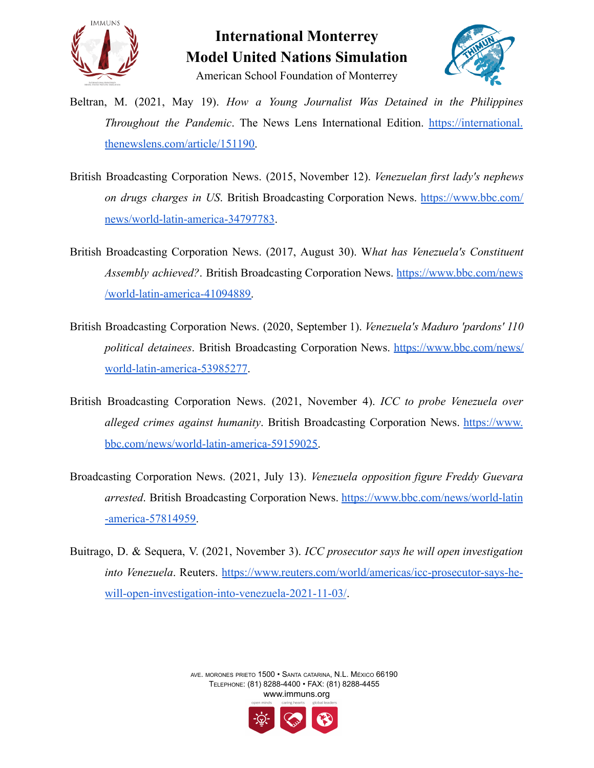



American School Foundation of Monterrey

- Beltran, M. (2021, May 19). *How a Young Journalist Was Detained in the Philippines Throughout the Pandemic*. The News Lens International Edition. [https://international.](https://international.thenewslens.com/article/151190) [thenewslens.com/article/151190.](https://international.thenewslens.com/article/151190)
- British Broadcasting Corporation News. (2015, November 12). *Venezuelan first lady's nephews on drugs charges in US*. British Broadcasting Corporation News. [https://www.bbc.com/](https://www.bbc.com/news/world-latin-america-34797783) [news/world-latin-america-34797783](https://www.bbc.com/news/world-latin-america-34797783).
- British Broadcasting Corporation News. (2017, August 30). W*hat has Venezuela's Constituent Assembly achieved?*. British Broadcasting Corporation News. [https://www.bbc.com/news](https://www.bbc.com/news/world-latin-america-41094889) [/world-latin-america-41094889.](https://www.bbc.com/news/world-latin-america-41094889)
- British Broadcasting Corporation News. (2020, September 1). *Venezuela's Maduro 'pardons' 110 political detainees*. British Broadcasting Corporation News. [https://www.bbc.com/news/](https://www.bbc.com/news/world-latin-america-53985277) [world-latin-america-53985277](https://www.bbc.com/news/world-latin-america-53985277).
- British Broadcasting Corporation News. (2021, November 4). *ICC to probe Venezuela over alleged crimes against humanity*. British Broadcasting Corporation News. [https://www.](https://www.bbc.com/news/world-latin-america-59159025) [bbc.com/news/world-latin-america-59159025.](https://www.bbc.com/news/world-latin-america-59159025)
- Broadcasting Corporation News. (2021, July 13). *Venezuela opposition figure Freddy Guevara arrested*. British Broadcasting Corporation News. [https://www.bbc.com/news/world-latin](https://www.bbc.com/news/world-latin-america-57814959) [-america-57814959.](https://www.bbc.com/news/world-latin-america-57814959)
- Buitrago, D. & Sequera, V. (2021, November 3). *ICC prosecutor says he will open investigation into Venezuela*. Reuters. [https://www.reuters.com/world/americas/icc-prosecutor-says-he](https://www.reuters.com/world/americas/icc-prosecutor-says-he-will-open-investigation-into-venezuela-2021-11-03/)[will-open-investigation-into-venezuela-2021-11-03/](https://www.reuters.com/world/americas/icc-prosecutor-says-he-will-open-investigation-into-venezuela-2021-11-03/).

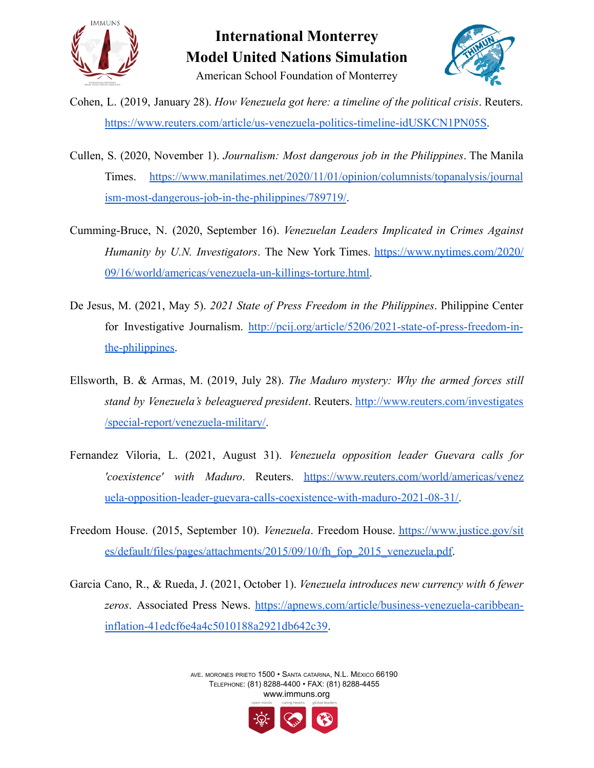



- Cohen, L. (2019, January 28). *How Venezuela got here: a timeline of the political crisis*. Reuters. [https://www.reuters.com/article/us-venezuela-politics-timeline-idUSKCN1PN05S.](https://www.reuters.com/article/us-venezuela-politics-timeline-idUSKCN1PN05S)
- Cullen, S. (2020, November 1). *Journalism: Most dangerous job in the Philippines*. The Manila Times. [https://www.manilatimes.net/2020/11/01/opinion/columnists/topanalysis/journal](https://www.manilatimes.net/2020/11/01/opinion/columnists/topanalysis/journalism-most-dangerous-job-in-the-philippines/789719/) [ism-most-dangerous-job-in-the-philippines/789719/](https://www.manilatimes.net/2020/11/01/opinion/columnists/topanalysis/journalism-most-dangerous-job-in-the-philippines/789719/).
- Cumming-Bruce, N. (2020, September 16). *Venezuelan Leaders Implicated in Crimes Against Humanity by U.N. Investigators*. The New York Times. [https://www.nytimes.com/2020/](https://www.nytimes.com/2020/09/16/world/americas/venezuela-un-killings-torture.html) [09/16/world/americas/venezuela-un-killings-torture.html.](https://www.nytimes.com/2020/09/16/world/americas/venezuela-un-killings-torture.html)
- De Jesus, M. (2021, May 5). *2021 State of Press Freedom in the Philippines*. Philippine Center for Investigative Journalism. [http://pcij.org/article/5206/2021-state-of-press-freedom-in](http://pcij.org/article/5206/2021-state-of-press-freedom-in-the-philippines)[the-philippines.](http://pcij.org/article/5206/2021-state-of-press-freedom-in-the-philippines)
- Ellsworth, B. & Armas, M. (2019, July 28). *The Maduro mystery: Why the armed forces still stand by Venezuela's beleaguered president*. Reuters. [http://www.reuters.com/investigates](http://www.reuters.com/investigates/special-report/venezuela-military/) [/special-report/venezuela-military/.](http://www.reuters.com/investigates/special-report/venezuela-military/)
- Fernandez Viloria, L. (2021, August 31). *Venezuela opposition leader Guevara calls for 'coexistence' with Maduro*. Reuters. [https://www.reuters.com/world/americas/venez](https://www.reuters.com/world/americas/venezuela-opposition-leader-guevara-calls-coexistence-with-maduro-2021-08-31/) [uela-opposition-leader-guevara-calls-coexistence-with-maduro-2021-08-31/.](https://www.reuters.com/world/americas/venezuela-opposition-leader-guevara-calls-coexistence-with-maduro-2021-08-31/)
- Freedom House. (2015, September 10). *Venezuela*. Freedom House. [https://www.justice.gov/sit](https://www.justice.gov/sites/default/files/pages/attachments/2015/09/10/fh_fop_2015_venezuela.pdf) [es/default/files/pages/attachments/2015/09/10/fh\\_fop\\_2015\\_venezuela.pdf](https://www.justice.gov/sites/default/files/pages/attachments/2015/09/10/fh_fop_2015_venezuela.pdf).
- Garcia Cano, R., & Rueda, J. (2021, October 1). *Venezuela introduces new currency with 6 fewer zeros*. Associated Press News. [https://apnews.com/article/business-venezuela-caribbean](https://apnews.com/article/business-venezuela-caribbean-inflation-41edcf6e4a4c5010188a2921db642c39)[inflation-41edcf6e4a4c5010188a2921db642c39.](https://apnews.com/article/business-venezuela-caribbean-inflation-41edcf6e4a4c5010188a2921db642c39)

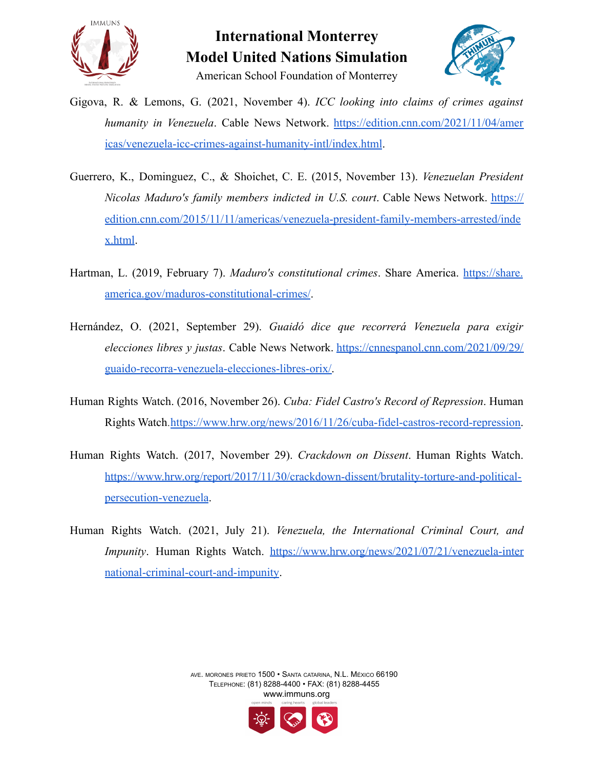



- Gigova, R. & Lemons, G. (2021, November 4). *ICC looking into claims of crimes against humanity in Venezuela*. Cable News Network. [https://edition.cnn.com/2021/11/04/amer](https://edition.cnn.com/2021/11/04/americas/venezuela-icc-crimes-against-humanity-intl/index.html) [icas/venezuela-icc-crimes-against-humanity-intl/index.html](https://edition.cnn.com/2021/11/04/americas/venezuela-icc-crimes-against-humanity-intl/index.html).
- Guerrero, K., Dominguez, C., & Shoichet, C. E. (2015, November 13). *Venezuelan President Nicolas Maduro's family members indicted in U.S. court*. Cable News Network. [https://](https://edition.cnn.com/2015/11/11/americas/venezuela-president-family-members-arrested/index.html) [edition.cnn.com/2015/11/11/americas/venezuela-president-family-members-arrested/inde](https://edition.cnn.com/2015/11/11/americas/venezuela-president-family-members-arrested/index.html) [x.html](https://edition.cnn.com/2015/11/11/americas/venezuela-president-family-members-arrested/index.html).
- Hartman, L. (2019, February 7). *Maduro's constitutional crimes*. Share America. [https://share.](https://share.america.gov/maduros-constitutional-crimes/) [america.gov/maduros-constitutional-crimes/](https://share.america.gov/maduros-constitutional-crimes/).
- Hernández, O. (2021, September 29). *Guaidó dice que recorrerá Venezuela para exigir elecciones libres y justas*. Cable News Network. [https://cnnespanol.cnn.com/2021/09/29/](https://cnnespanol.cnn.com/2021/09/29/guaido-recorra-venezuela-elecciones-libres-orix/) [guaido-recorra-venezuela-elecciones-libres-orix/.](https://cnnespanol.cnn.com/2021/09/29/guaido-recorra-venezuela-elecciones-libres-orix/)
- Human Rights Watch. (2016, November 26). *Cuba: Fidel Castro's Record of Repression*. Human Rights Watch.[https://www.hrw.org/news/2016/11/26/cuba-fidel-castros-record-repression.](https://www.hrw.org/news/2016/11/26/cuba-fidel-castros-record-repression)
- Human Rights Watch. (2017, November 29). *Crackdown on Dissent*. Human Rights Watch. [https://www.hrw.org/report/2017/11/30/crackdown-dissent/brutality-torture-and-political](https://www.hrw.org/report/2017/11/30/crackdown-dissent/brutality-torture-and-political-persecution-venezuela)[persecution-venezuela](https://www.hrw.org/report/2017/11/30/crackdown-dissent/brutality-torture-and-political-persecution-venezuela).
- Human Rights Watch. (2021, July 21). *Venezuela, the International Criminal Court, and Impunity*. Human Rights Watch. [https://www.hrw.org/news/2021/07/21/venezuela-inter](https://www.hrw.org/news/2021/07/21/venezuela-international-criminal-court-and-impunity) [national-criminal-court-and-impunity.](https://www.hrw.org/news/2021/07/21/venezuela-international-criminal-court-and-impunity)

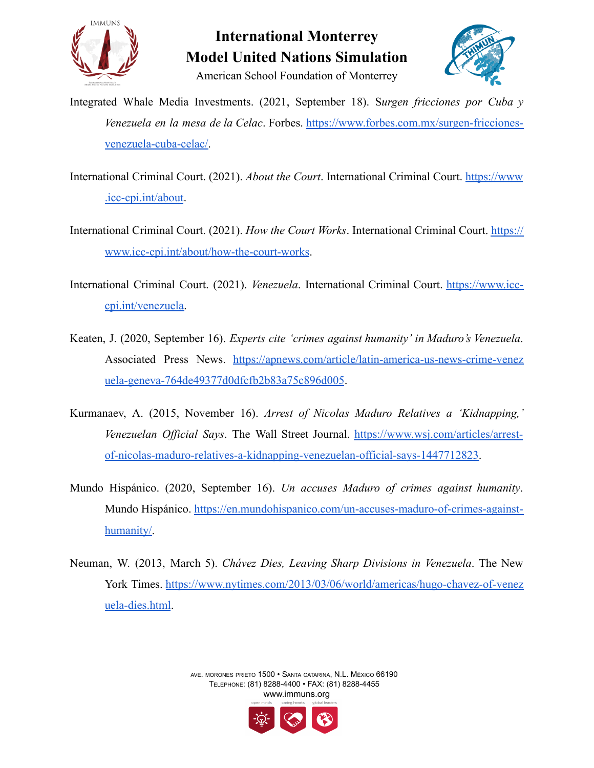



American School Foundation of Monterrey

- Integrated Whale Media Investments. (2021, September 18). S*urgen fricciones por Cuba y Venezuela en la mesa de la Celac*. Forbes. [https://www.forbes.com.mx/surgen-fricciones](https://www.forbes.com.mx/surgen-fricciones-venezuela-cuba-celac/)[venezuela-cuba-celac/.](https://www.forbes.com.mx/surgen-fricciones-venezuela-cuba-celac/)
- International Criminal Court. (2021). *About the Court*. International Criminal Court. [https://www](https://www.icc-cpi.int/about) [.icc-cpi.int/about](https://www.icc-cpi.int/about).
- International Criminal Court. (2021). *How the Court Works*. International Criminal Court. [https://](https://www.icc-cpi.int/about/how-the-court-works) [www.icc-cpi.int/about/how-the-court-works](https://www.icc-cpi.int/about/how-the-court-works).
- International Criminal Court. (2021). *Venezuela*. International Criminal Court. [https://www.icc](https://www.icc-cpi.int/venezuela)[cpi.int/venezuela.](https://www.icc-cpi.int/venezuela)
- Keaten, J. (2020, September 16). *Experts cite 'crimes against humanity' in Maduro's Venezuela*. Associated Press News. [https://apnews.com/article/latin-america-us-news-crime-venez](https://apnews.com/article/latin-america-us-news-crime-venezuela-geneva-764de49377d0dfcfb2b83a75c896d005) [uela-geneva-764de49377d0dfcfb2b83a75c896d005](https://apnews.com/article/latin-america-us-news-crime-venezuela-geneva-764de49377d0dfcfb2b83a75c896d005).
- Kurmanaev, A. (2015, November 16). *Arrest of Nicolas Maduro Relatives a 'Kidnapping,' Venezuelan Official Says*. The Wall Street Journal. [https://www.wsj.com/articles/arrest](https://www.wsj.com/articles/arrest-of-nicolas-maduro-relatives-a-kidnapping-venezuelan-official-says-1447712823)[of-nicolas-maduro-relatives-a-kidnapping-venezuelan-official-says-1447712823.](https://www.wsj.com/articles/arrest-of-nicolas-maduro-relatives-a-kidnapping-venezuelan-official-says-1447712823)
- Mundo Hispánico. (2020, September 16). *Un accuses Maduro of crimes against humanity*. Mundo Hispánico. [https://en.mundohispanico.com/un-accuses-maduro-of-crimes-against](https://en.mundohispanico.com/un-accuses-maduro-of-crimes-against-humanity/)[humanity/.](https://en.mundohispanico.com/un-accuses-maduro-of-crimes-against-humanity/)
- Neuman, W. (2013, March 5). *Chávez Dies, Leaving Sharp Divisions in Venezuela*. The New York Times. [https://www.nytimes.com/2013/03/06/world/americas/hugo-chavez-of-venez](https://www.nytimes.com/2013/03/06/world/americas/hugo-chavez-of-venezuela-dies.html) [uela-dies.html](https://www.nytimes.com/2013/03/06/world/americas/hugo-chavez-of-venezuela-dies.html).

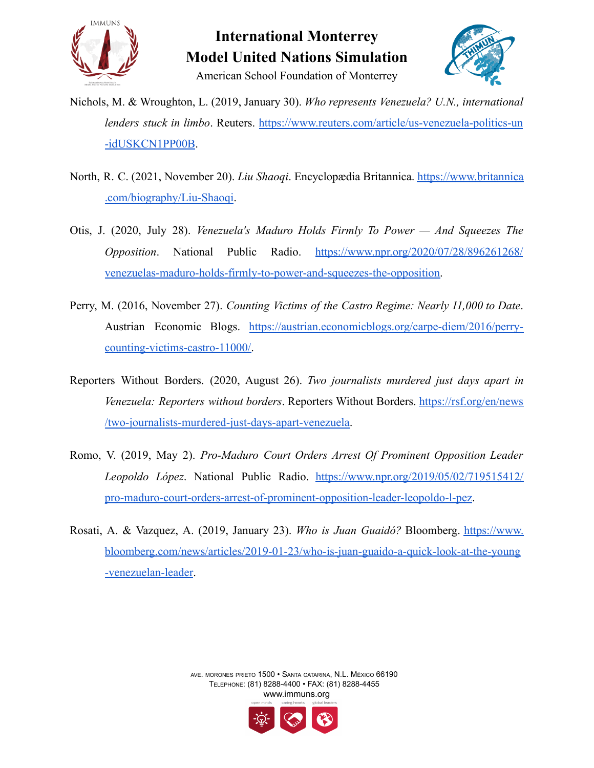



- Nichols, M. & Wroughton, L. (2019, January 30). *Who represents Venezuela? U.N., international lenders stuck in limbo*. Reuters. [https://www.reuters.com/article/us-venezuela-politics-un](https://www.reuters.com/article/us-venezuela-politics-un-idUSKCN1PP00B) [-idUSKCN1PP00B](https://www.reuters.com/article/us-venezuela-politics-un-idUSKCN1PP00B).
- North, R. C. (2021, November 20). *Liu Shaoqi*. Encyclopædia Britannica. [https://www.britannica](https://www.britannica.com/biography/Liu-Shaoqi) [.com/biography/Liu-Shaoqi.](https://www.britannica.com/biography/Liu-Shaoqi)
- Otis, J. (2020, July 28). *Venezuela's Maduro Holds Firmly To Power — And Squeezes The Opposition*. National Public Radio. [https://www.npr.org/2020/07/28/896261268/](https://www.npr.org/2020/07/28/896261268/venezuelas-maduro-holds-firmly-to-power-and-squeezes-the-opposition) [venezuelas-maduro-holds-firmly-to-power-and-squeezes-the-opposition.](https://www.npr.org/2020/07/28/896261268/venezuelas-maduro-holds-firmly-to-power-and-squeezes-the-opposition)
- Perry, M. (2016, November 27). *Counting Victims of the Castro Regime: Nearly 11,000 to Date*. Austrian Economic Blogs. [https://austrian.economicblogs.org/carpe-diem/2016/perry](https://austrian.economicblogs.org/carpe-diem/2016/perry-counting-victims-castro-11000/)[counting-victims-castro-11000/.](https://austrian.economicblogs.org/carpe-diem/2016/perry-counting-victims-castro-11000/)
- Reporters Without Borders. (2020, August 26). *Two journalists murdered just days apart in Venezuela: Reporters without borders*. Reporters Without Borders. [https://rsf.org/en/news](https://rsf.org/en/news/two-journalists-murdered-just-days-apart-venezuela) [/two-journalists-murdered-just-days-apart-venezuela.](https://rsf.org/en/news/two-journalists-murdered-just-days-apart-venezuela)
- Romo, V. (2019, May 2). *Pro-Maduro Court Orders Arrest Of Prominent Opposition Leader Leopoldo López*. National Public Radio. [https://www.npr.org/2019/05/02/719515412/](https://www.npr.org/2019/05/02/719515412/pro-maduro-court-orders-arrest-of-prominent-opposition-leader-leopoldo-l-pez) [pro-maduro-court-orders-arrest-of-prominent-opposition-leader-leopoldo-l-pez.](https://www.npr.org/2019/05/02/719515412/pro-maduro-court-orders-arrest-of-prominent-opposition-leader-leopoldo-l-pez)
- Rosati, A. & Vazquez, A. (2019, January 23). *Who is Juan Guaidó?* Bloomberg. [https://www.](https://www.bloomberg.com/news/articles/2019-01-23/who-is-juan-guaido-a-quick-look-at-the-young-venezuelan-leader) [bloomberg.com/news/articles/2019-01-23/who-is-juan-guaido-a-quick-look-at-the-young](https://www.bloomberg.com/news/articles/2019-01-23/who-is-juan-guaido-a-quick-look-at-the-young-venezuelan-leader) [-venezuelan-leader](https://www.bloomberg.com/news/articles/2019-01-23/who-is-juan-guaido-a-quick-look-at-the-young-venezuelan-leader).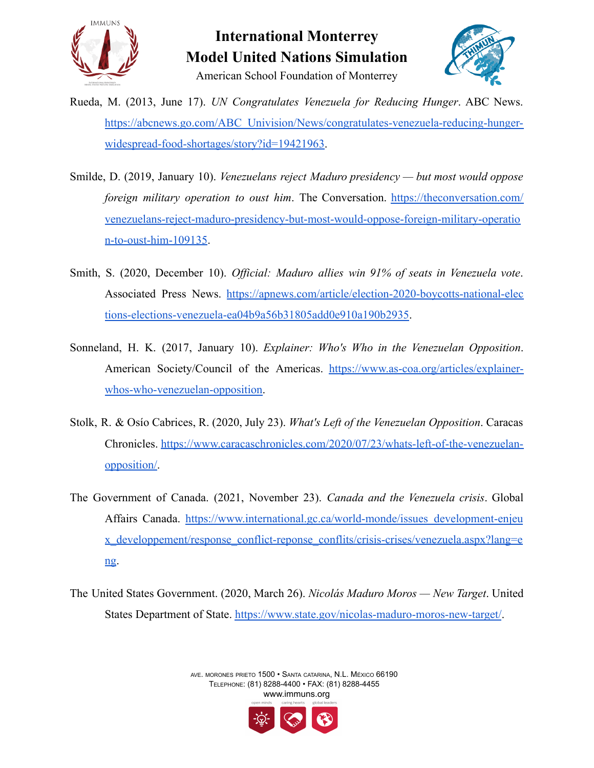



American School Foundation of Monterrey

- Rueda, M. (2013, June 17). *UN Congratulates Venezuela for Reducing Hunger*. ABC News. [https://abcnews.go.com/ABC\\_Univision/News/congratulates-venezuela-reducing-hunger](https://abcnews.go.com/ABC_Univision/News/congratulates-venezuela-reducing-hunger-widespread-food-shortages/story?id=19421963)[widespread-food-shortages/story?id=19421963.](https://abcnews.go.com/ABC_Univision/News/congratulates-venezuela-reducing-hunger-widespread-food-shortages/story?id=19421963)
- Smilde, D. (2019, January 10). *Venezuelans reject Maduro presidency — but most would oppose foreign military operation to oust him*. The Conversation. [https://theconversation.com/](https://theconversation.com/venezuelans-reject-maduro-presidency-but-most-would-oppose-foreign-military-operation-to-oust-him-109135) [venezuelans-reject-maduro-presidency-but-most-would-oppose-foreign-military-operatio](https://theconversation.com/venezuelans-reject-maduro-presidency-but-most-would-oppose-foreign-military-operation-to-oust-him-109135) [n-to-oust-him-109135.](https://theconversation.com/venezuelans-reject-maduro-presidency-but-most-would-oppose-foreign-military-operation-to-oust-him-109135)
- Smith, S. (2020, December 10). *Official: Maduro allies win 91% of seats in Venezuela vote*. Associated Press News. [https://apnews.com/article/election-2020-boycotts-national-elec](https://apnews.com/article/election-2020-boycotts-national-elections-elections-venezuela-ea04b9a56b31805add0e910a190b2935) [tions-elections-venezuela-ea04b9a56b31805add0e910a190b2935.](https://apnews.com/article/election-2020-boycotts-national-elections-elections-venezuela-ea04b9a56b31805add0e910a190b2935)
- Sonneland, H. K. (2017, January 10). *Explainer: Who's Who in the Venezuelan Opposition*. American Society/Council of the Americas. [https://www.as-coa.org/articles/explainer](https://www.as-coa.org/articles/explainer-whos-who-venezuelan-opposition)[whos-who-venezuelan-opposition.](https://www.as-coa.org/articles/explainer-whos-who-venezuelan-opposition)
- Stolk, R. & Osío Cabrices, R. (2020, July 23). *What's Left of the Venezuelan Opposition*. Caracas Chronicles. [https://www.caracaschronicles.com/2020/07/23/whats-left-of-the-venezuelan](https://www.caracaschronicles.com/2020/07/23/whats-left-of-the-venezuelan-opposition/)[opposition/](https://www.caracaschronicles.com/2020/07/23/whats-left-of-the-venezuelan-opposition/).
- The Government of Canada. (2021, November 23). *Canada and the Venezuela crisis*. Global Affairs Canada. [https://www.international.gc.ca/world-monde/issues\\_development-enjeu](https://www.international.gc.ca/world-monde/issues_development-enjeux_developpement/response_conflict-reponse_conflits/crisis-crises/venezuela.aspx?lang=eng) [x\\_developpement/response\\_conflict-reponse\\_conflits/crisis-crises/venezuela.aspx?lang=e](https://www.international.gc.ca/world-monde/issues_development-enjeux_developpement/response_conflict-reponse_conflits/crisis-crises/venezuela.aspx?lang=eng) [ng](https://www.international.gc.ca/world-monde/issues_development-enjeux_developpement/response_conflict-reponse_conflits/crisis-crises/venezuela.aspx?lang=eng).
- The United States Government. (2020, March 26). *Nicolás Maduro Moros — New Target*. United States Department of State. <https://www.state.gov/nicolas-maduro-moros-new-target/>.